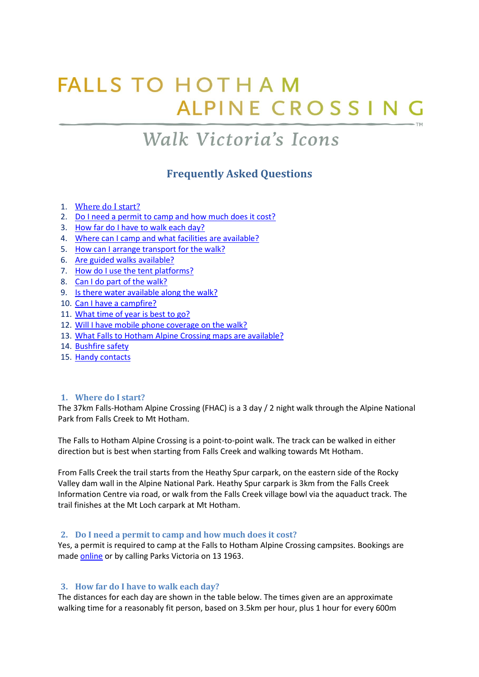# **FALLS TO HOTHAM** ALPINE CROSSIN

## Walk Victoria's Icons

## **Frequently Asked Questions**

- 1. [Where do I start?](#page-0-0)
- 2. [Do I need a permit to camp and how much does it cost?](#page-0-1)
- 3. [How far do I have to walk each day?](#page-0-2)
- 4. [Where can I camp and what facilities are available?](#page-1-0)
- 5. [How can I arrange transport for the walk?](#page-1-1)
- 6. [Are guided walks available?](#page-1-2)
- 7. [How do I use the tent platforms?](#page-2-0)
- 8. [Can I do part of the walk?](#page-2-1)
- 9. [Is there water available along the walk?](#page-2-2)
- 10. [Can I have a campfire?](#page-3-0)
- 11. [What time of year is best to go?](#page-3-1)
- 12. [Will I have mobile phone coverage on the walk?](#page-3-2)
- 13. [What Falls to Hotham Alpine Crossing maps are available?](#page-3-3)
- 14. [Bushfire safety](#page-4-0)
- 15. [Handy contacts](#page-5-0)

#### <span id="page-0-0"></span>**1. Where do I start?**

The 37km Falls-Hotham Alpine Crossing (FHAC) is a 3 day / 2 night walk through the Alpine National Park from Falls Creek to Mt Hotham.

The Falls to Hotham Alpine Crossing is a point-to-point walk. The track can be walked in either direction but is best when starting from Falls Creek and walking towards Mt Hotham.

From Falls Creek the trail starts from the Heathy Spur carpark, on the eastern side of the Rocky Valley dam wall in the Alpine National Park. Heathy Spur carpark is 3km from the Falls Creek Information Centre via road, or walk from the Falls Creek village bowl via the aquaduct track. The trail finishes at the Mt Loch carpark at Mt Hotham.

#### <span id="page-0-1"></span>**2. Do I need a permit to camp and how much does it cost?**

Yes, a permit is required to camp at the Falls to Hotham Alpine Crossing campsites. Bookings are made [online](http://www.parkstay.vic.gov.au/) or by calling Parks Victoria on 13 1963.

#### <span id="page-0-2"></span>**3. How far do I have to walk each day?**

The distances for each day are shown in the table below. The times given are an approximate walking time for a reasonably fit person, based on 3.5km per hour, plus 1 hour for every 600m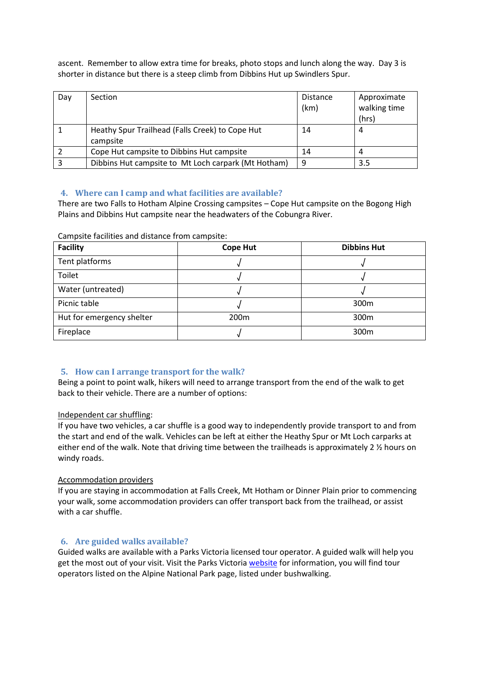ascent. Remember to allow extra time for breaks, photo stops and lunch along the way. Day 3 is shorter in distance but there is a steep climb from Dibbins Hut up Swindlers Spur.

| Day | Section                                                     | <b>Distance</b><br>(km) | Approximate<br>walking time<br>(hrs) |
|-----|-------------------------------------------------------------|-------------------------|--------------------------------------|
|     | Heathy Spur Trailhead (Falls Creek) to Cope Hut<br>campsite | 14                      | 4                                    |
|     | Cope Hut campsite to Dibbins Hut campsite                   | 14                      | 4                                    |
|     | Dibbins Hut campsite to Mt Loch carpark (Mt Hotham)         | 9                       | 3.5                                  |

#### <span id="page-1-0"></span>**4. Where can I camp and what facilities are available?**

There are two Falls to Hotham Alpine Crossing campsites – Cope Hut campsite on the Bogong High Plains and Dibbins Hut campsite near the headwaters of the Cobungra River.

| <b>Facility</b>           | <b>Cope Hut</b>  | <b>Dibbins Hut</b> |
|---------------------------|------------------|--------------------|
| Tent platforms            |                  |                    |
| Toilet                    |                  |                    |
| Water (untreated)         |                  |                    |
| Picnic table              |                  | 300 <sub>m</sub>   |
| Hut for emergency shelter | 200 <sub>m</sub> | 300 <sub>m</sub>   |
| Fireplace                 |                  | 300 <sub>m</sub>   |

Campsite facilities and distance from campsite:

#### <span id="page-1-1"></span>**5. How can I arrange transport for the walk?**

Being a point to point walk, hikers will need to arrange transport from the end of the walk to get back to their vehicle. There are a number of options:

#### Independent car shuffling:

If you have two vehicles, a car shuffle is a good way to independently provide transport to and from the start and end of the walk. Vehicles can be left at either the Heathy Spur or Mt Loch carparks at either end of the walk. Note that driving time between the trailheads is approximately 2 % hours on windy roads.

#### Accommodation providers

If you are staying in accommodation at Falls Creek, Mt Hotham or Dinner Plain prior to commencing your walk, some accommodation providers can offer transport back from the trailhead, or assist with a car shuffle.

#### <span id="page-1-2"></span>**6. Are guided walks available?**

Guided walks are available with a Parks Victoria licensed tour operator. A guided walk will help you get the most out of your visit. Visit the Parks Victori[a website](http://parkweb.vic.gov.au/explore/guided-tours) for information, you will find tour operators listed on the Alpine National Park page, listed under bushwalking.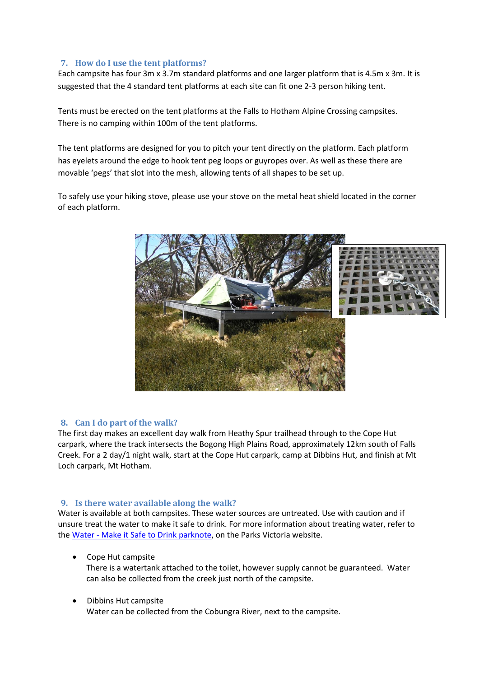#### <span id="page-2-0"></span>**7. How do I use the tent platforms?**

Each campsite has four 3m x 3.7m standard platforms and one larger platform that is 4.5m x 3m. It is suggested that the 4 standard tent platforms at each site can fit one 2-3 person hiking tent.

Tents must be erected on the tent platforms at the Falls to Hotham Alpine Crossing campsites. There is no camping within 100m of the tent platforms.

The tent platforms are designed for you to pitch your tent directly on the platform. Each platform has eyelets around the edge to hook tent peg loops or guyropes over. As well as these there are movable 'pegs' that slot into the mesh, allowing tents of all shapes to be set up.

To safely use your hiking stove, please use your stove on the metal heat shield located in the corner of each platform.



#### <span id="page-2-1"></span>**8. Can I do part of the walk?**

The first day makes an excellent day walk from Heathy Spur trailhead through to the Cope Hut carpark, where the track intersects the Bogong High Plains Road, approximately 12km south of Falls Creek. For a 2 day/1 night walk, start at the Cope Hut carpark, camp at Dibbins Hut, and finish at Mt Loch carpark, Mt Hotham.

#### <span id="page-2-2"></span>**9. Is there water available along the walk?**

Water is available at both campsites. These water sources are untreated. Use with caution and if unsure treat the water to make it safe to drink. For more information about treating water, refer to th[e Water - Make it Safe to Drink parknote, on the Parks Victoria website.](http://parkweb.vic.gov.au/__data/assets/pdf_file/0017/313073/parknote-safe-drinking-water.pdf)

Cope Hut campsite

There is a watertank attached to the toilet, however supply cannot be guaranteed. Water can also be collected from the creek just north of the campsite.

• Dibbins Hut campsite Water can be collected from the Cobungra River, next to the campsite.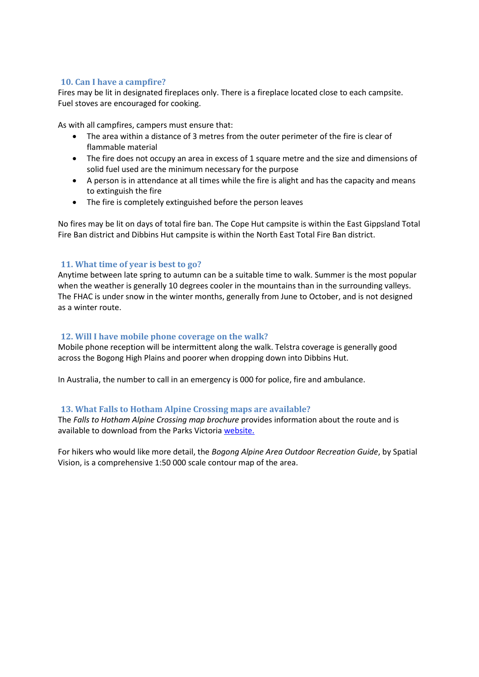#### <span id="page-3-0"></span>**10. Can I have a campfire?**

Fires may be lit in designated fireplaces only. There is a fireplace located close to each campsite. Fuel stoves are encouraged for cooking.

As with all campfires, campers must ensure that:

- The area within a distance of 3 metres from the outer perimeter of the fire is clear of flammable material
- The fire does not occupy an area in excess of 1 square metre and the size and dimensions of solid fuel used are the minimum necessary for the purpose
- A person is in attendance at all times while the fire is alight and has the capacity and means to extinguish the fire
- The fire is completely extinguished before the person leaves

No fires may be lit on days of total fire ban. The Cope Hut campsite is within the East Gippsland Total Fire Ban district and Dibbins Hut campsite is within the North East Total Fire Ban district.

#### <span id="page-3-1"></span>**11. What time of year is best to go?**

Anytime between late spring to autumn can be a suitable time to walk. Summer is the most popular when the weather is generally 10 degrees cooler in the mountains than in the surrounding valleys. The FHAC is under snow in the winter months, generally from June to October, and is not designed as a winter route.

#### <span id="page-3-2"></span>**12. Will I have mobile phone coverage on the walk?**

Mobile phone reception will be intermittent along the walk. Telstra coverage is generally good across the Bogong High Plains and poorer when dropping down into Dibbins Hut.

In Australia, the number to call in an emergency is 000 for police, fire and ambulance.

#### <span id="page-3-3"></span>**13. What Falls to Hotham Alpine Crossing maps are available?**

The *Falls to Hotham Alpine Crossing map brochure* provides information about the route and is available to download from the Parks Victoria [website.](http://parkweb.vic.gov.au/explore/parks/alpine-national-park)

For hikers who would like more detail, the *Bogong Alpine Area Outdoor Recreation Guide*, by Spatial Vision, is a comprehensive 1:50 000 scale contour map of the area.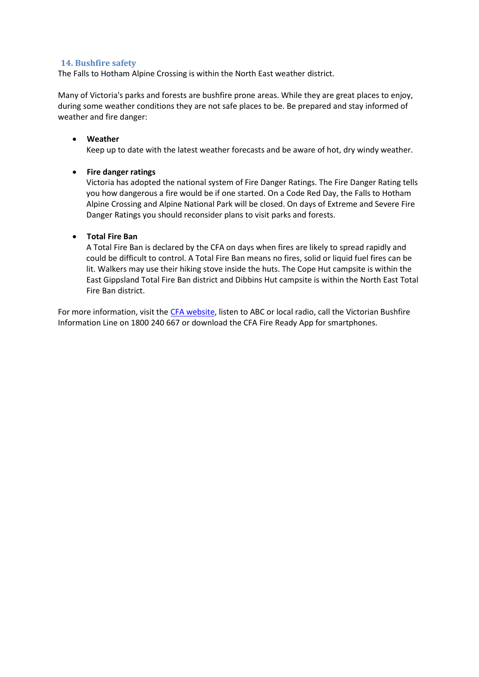#### <span id="page-4-0"></span>**14. Bushfire safety**

The Falls to Hotham Alpine Crossing is within the North East weather district.

Many of Victoria's parks and forests are bushfire prone areas. While they are great places to enjoy, during some weather conditions they are not safe places to be. Be prepared and stay informed of weather and fire danger:

#### **Weather**

Keep up to date with the latest weather forecasts and be aware of hot, dry windy weather.

#### **Fire danger ratings**

Victoria has adopted the national system of Fire Danger Ratings. The Fire Danger Rating tells you how dangerous a fire would be if one started. On a Code Red Day, the Falls to Hotham Alpine Crossing and Alpine National Park will be closed. On days of Extreme and Severe Fire Danger Ratings you should reconsider plans to visit parks and forests.

#### **Total Fire Ban**

A Total Fire Ban is declared by the CFA on days when fires are likely to spread rapidly and could be difficult to control. A Total Fire Ban means no fires, solid or liquid fuel fires can be lit. Walkers may use their hiking stove inside the huts. The Cope Hut campsite is within the East Gippsland Total Fire Ban district and Dibbins Hut campsite is within the North East Total Fire Ban district.

For more information, visit the [CFA website,](http://www.cfa.vic.gov.au/) listen to ABC or local radio, call the Victorian Bushfire Information Line on 1800 240 667 or download the CFA Fire Ready App for smartphones.